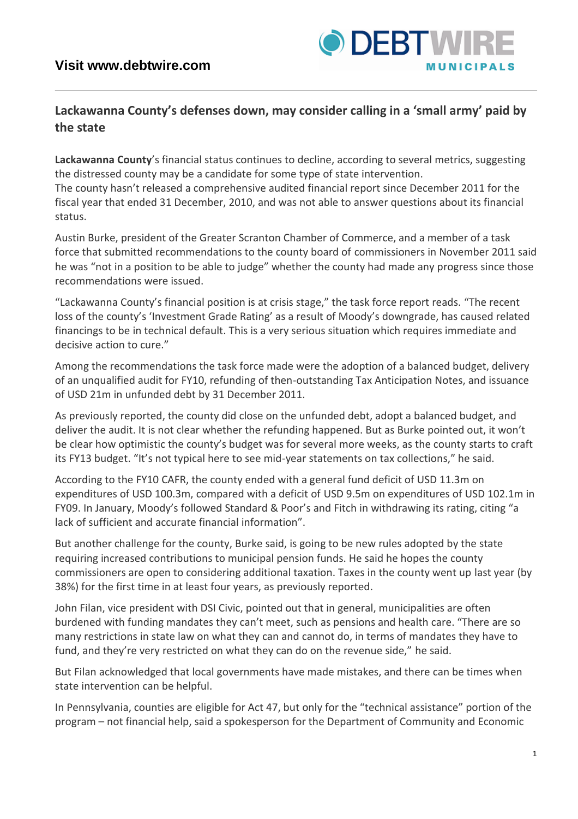## **Lackawanna County's defenses down, may consider calling in a 'small army' paid by the state**

**Lackawanna County**'s financial status continues to decline, according to several metrics, suggesting the distressed county may be a candidate for some type of state intervention. The county hasn't released a comprehensive audited financial report since December 2011 for the fiscal year that ended 31 December, 2010, and was not able to answer questions about its financial status.

Austin Burke, president of the Greater Scranton Chamber of Commerce, and a member of a task force that submitted recommendations to the county board of commissioners in November 2011 said he was "not in a position to be able to judge" whether the county had made any progress since those recommendations were issued.

"Lackawanna County's financial position is at crisis stage," the task force report reads. "The recent loss of the county's 'Investment Grade Rating' as a result of Moody's downgrade, has caused related financings to be in technical default. This is a very serious situation which requires immediate and decisive action to cure."

Among the recommendations the task force made were the adoption of a balanced budget, delivery of an unqualified audit for FY10, refunding of then-outstanding Tax Anticipation Notes, and issuance of USD 21m in unfunded debt by 31 December 2011.

As previously reported, the county did close on the unfunded debt, adopt a balanced budget, and deliver the audit. It is not clear whether the refunding happened. But as Burke pointed out, it won't be clear how optimistic the county's budget was for several more weeks, as the county starts to craft its FY13 budget. "It's not typical here to see mid-year statements on tax collections," he said.

According to the FY10 CAFR, the county ended with a general fund deficit of USD 11.3m on expenditures of USD 100.3m, compared with a deficit of USD 9.5m on expenditures of USD 102.1m in FY09. In January, Moody's followed Standard & Poor's and Fitch in withdrawing its rating, citing "a lack of sufficient and accurate financial information".

But another challenge for the county, Burke said, is going to be new rules adopted by the state requiring increased contributions to municipal pension funds. He said he hopes the county commissioners are open to considering additional taxation. Taxes in the county went up last year (by 38%) for the first time in at least four years, as previously reported.

John Filan, vice president with DSI Civic, pointed out that in general, municipalities are often burdened with funding mandates they can't meet, such as pensions and health care. "There are so many restrictions in state law on what they can and cannot do, in terms of mandates they have to fund, and they're very restricted on what they can do on the revenue side," he said.

But Filan acknowledged that local governments have made mistakes, and there can be times when state intervention can be helpful.

In Pennsylvania, counties are eligible for Act 47, but only for the "technical assistance" portion of the program – not financial help, said a spokesperson for the Department of Community and Economic